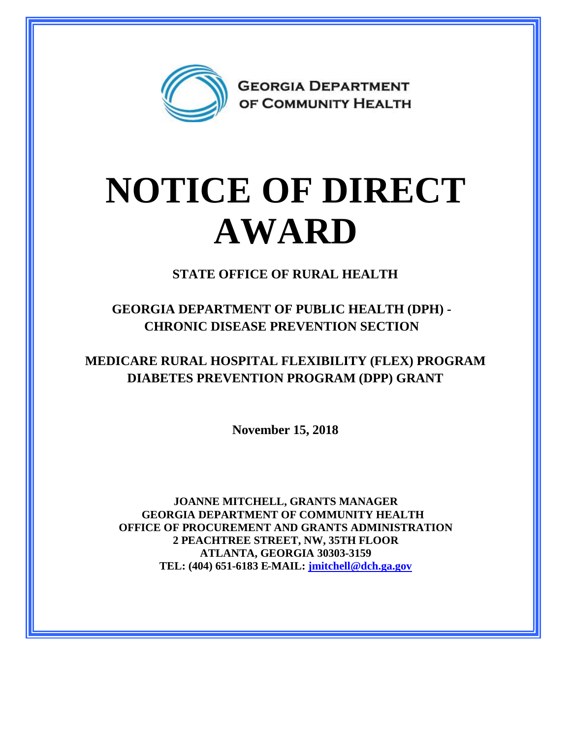

## **NOTICE OF DIRECT AWARD**

**STATE OFFICE OF RURAL HEALTH**

**GEORGIA DEPARTMENT OF PUBLIC HEALTH (DPH) - CHRONIC DISEASE PREVENTION SECTION**

**MEDICARE RURAL HOSPITAL FLEXIBILITY (FLEX) PROGRAM DIABETES PREVENTION PROGRAM (DPP) GRANT**

**November 15, 2018**

**JOANNE MITCHELL, GRANTS MANAGER GEORGIA DEPARTMENT OF COMMUNITY HEALTH OFFICE OF PROCUREMENT AND GRANTS ADMINISTRATION 2 PEACHTREE STREET, NW, 35TH FLOOR ATLANTA, GEORGIA 30303-3159 TEL: (404) 651-6183 E-MAIL: [jmitchell@dch.ga.gov](mailto:jmitchell@dch.ga.gov)**